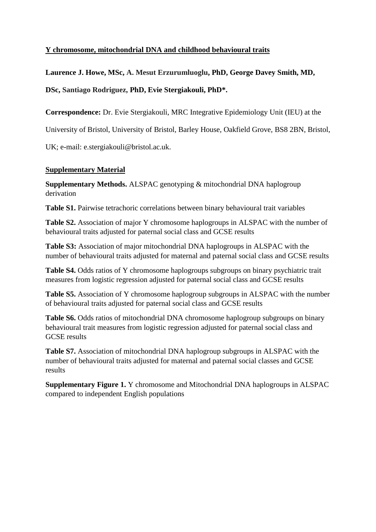## **Y chromosome, mitochondrial DNA and childhood behavioural traits**

**Laurence J. Howe, MSc, A. Mesut Erzurumluoglu, PhD, George Davey Smith, MD,** 

**DSc, Santiago Rodriguez, PhD, Evie Stergiakouli, PhD\*.**

**Correspondence:** Dr. Evie Stergiakouli, MRC Integrative Epidemiology Unit (IEU) at the

University of Bristol, University of Bristol, Barley House, Oakfield Grove, BS8 2BN, Bristol,

UK; e-mail: e.stergiakouli@bristol.ac.uk.

## **Supplementary Material**

**Supplementary Methods.** ALSPAC genotyping & mitochondrial DNA haplogroup derivation

**Table S1.** Pairwise tetrachoric correlations between binary behavioural trait variables

**Table S2.** Association of major Y chromosome haplogroups in ALSPAC with the number of behavioural traits adjusted for paternal social class and GCSE results

**Table S3:** Association of major mitochondrial DNA haplogroups in ALSPAC with the number of behavioural traits adjusted for maternal and paternal social class and GCSE results

**Table S4.** Odds ratios of Y chromosome haplogroups subgroups on binary psychiatric trait measures from logistic regression adjusted for paternal social class and GCSE results

**Table S5.** Association of Y chromosome haplogroup subgroups in ALSPAC with the number of behavioural traits adjusted for paternal social class and GCSE results

**Table S6.** Odds ratios of mitochondrial DNA chromosome haplogroup subgroups on binary behavioural trait measures from logistic regression adjusted for paternal social class and GCSE results

**Table S7.** Association of mitochondrial DNA haplogroup subgroups in ALSPAC with the number of behavioural traits adjusted for maternal and paternal social classes and GCSE results

**Supplementary Figure 1.** Y chromosome and Mitochondrial DNA haplogroups in ALSPAC compared to independent English populations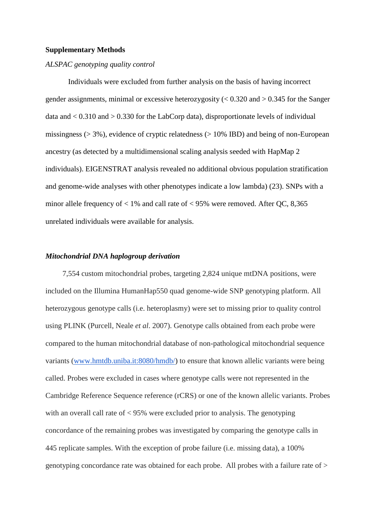#### **Supplementary Methods**

#### *ALSPAC genotyping quality control*

Individuals were excluded from further analysis on the basis of having incorrect gender assignments, minimal or excessive heterozygosity  $\ll 0.320$  and  $> 0.345$  for the Sanger data and  $< 0.310$  and  $> 0.330$  for the LabCorp data), disproportionate levels of individual missingness ( $> 3\%$ ), evidence of cryptic relatedness ( $> 10\%$  IBD) and being of non-European ancestry (as detected by a multidimensional scaling analysis seeded with HapMap 2 individuals). EIGENSTRAT analysis revealed no additional obvious population stratification and genome-wide analyses with other phenotypes indicate a low lambda) (23). SNPs with a minor allele frequency of  $< 1\%$  and call rate of  $< 95\%$  were removed. After QC, 8,365 unrelated individuals were available for analysis.

#### *Mitochondrial DNA haplogroup derivation*

 7,554 custom mitochondrial probes, targeting 2,824 unique mtDNA positions, were included on the Illumina HumanHap550 quad genome-wide SNP genotyping platform. All heterozygous genotype calls (i.e. heteroplasmy) were set to missing prior to quality control using PLINK (Purcell, Neale *et al*. 2007). Genotype calls obtained from each probe were compared to the human mitochondrial database of non-pathological mitochondrial sequence variants [\(www.hmtdb.uniba.it:8080/hmdb/\)](http://www.hmtdb.uniba.it:8080/hmdb/) to ensure that known allelic variants were being called. Probes were excluded in cases where genotype calls were not represented in the Cambridge Reference Sequence reference (rCRS) or one of the known allelic variants. Probes with an overall call rate of < 95% were excluded prior to analysis. The genotyping concordance of the remaining probes was investigated by comparing the genotype calls in 445 replicate samples. With the exception of probe failure (i.e. missing data), a 100% genotyping concordance rate was obtained for each probe. All probes with a failure rate of >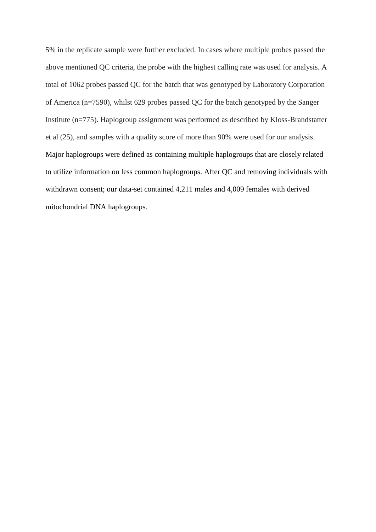5% in the replicate sample were further excluded. In cases where multiple probes passed the above mentioned QC criteria, the probe with the highest calling rate was used for analysis. A total of 1062 probes passed QC for the batch that was genotyped by Laboratory Corporation of America (n=7590), whilst 629 probes passed QC for the batch genotyped by the Sanger Institute (n=775). Haplogroup assignment was performed as described by Kloss-Brandstatter et al (25), and samples with a quality score of more than 90% were used for our analysis. Major haplogroups were defined as containing multiple haplogroups that are closely related to utilize information on less common haplogroups. After QC and removing individuals with withdrawn consent; our data-set contained 4,211 males and 4,009 females with derived mitochondrial DNA haplogroups.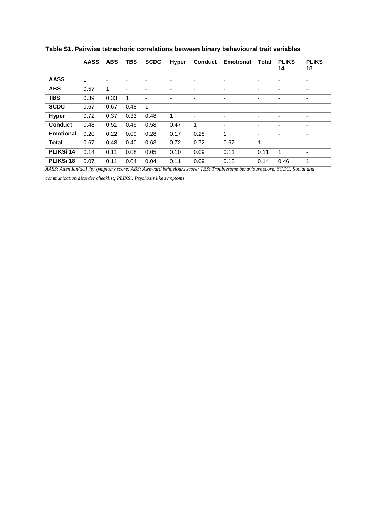|                  | <b>AASS</b> | <b>ABS</b> | <b>TBS</b>               | <b>SCDC</b>              | <b>Hyper</b> | <b>Conduct</b>           | <b>Emotional</b> | Total          | <b>PLIKS</b><br>14       | <b>PLIKS</b><br>18       |
|------------------|-------------|------------|--------------------------|--------------------------|--------------|--------------------------|------------------|----------------|--------------------------|--------------------------|
| <b>AASS</b>      | 1           |            |                          |                          |              |                          | $\overline{a}$   |                |                          | ٠                        |
| <b>ABS</b>       | 0.57        | 1          | $\overline{\phantom{a}}$ |                          | ٠            | -                        | $\overline{a}$   | $\overline{a}$ | $\overline{\phantom{a}}$ | $\overline{\phantom{a}}$ |
| <b>TBS</b>       | 0.39        | 0.33       | 1                        | $\overline{\phantom{a}}$ | ٠            | $\overline{\phantom{0}}$ | ٠                | ٠              | $\blacksquare$           | $\blacksquare$           |
| <b>SCDC</b>      | 0.67        | 0.67       | 0.48                     | $\overline{1}$           | ٠            | ٠                        | $\overline{a}$   | $\overline{a}$ | $\blacksquare$           | $\overline{\phantom{a}}$ |
| <b>Hyper</b>     | 0.72        | 0.37       | 0.33                     | 0.48                     | 1            | ٠                        |                  | $\blacksquare$ |                          | ٠                        |
| <b>Conduct</b>   | 0.48        | 0.51       | 0.45                     | 0.58                     | 0.47         | 1                        |                  |                |                          | ٠                        |
| <b>Emotional</b> | 0.20        | 0.22       | 0.09                     | 0.28                     | 0.17         | 0.28                     | 1                | $\blacksquare$ |                          |                          |
| <b>Total</b>     | 0.67        | 0.48       | 0.40                     | 0.63                     | 0.72         | 0.72                     | 0.67             | 1              |                          |                          |
| <b>PLIKSi 14</b> | 0.14        | 0.11       | 0.08                     | 0.05                     | 0.10         | 0.09                     | 0.11             | 0.11           | 1                        | $\overline{\phantom{a}}$ |
| <b>PLIKSi 18</b> | 0.07        | 0.11       | 0.04                     | 0.04                     | 0.11         | 0.09                     | 0.13             | 0.14           | 0.46                     | 1                        |

**Table S1. Pairwise tetrachoric correlations between binary behavioural trait variables**

*AASS: Attention/activity symptoms score; ABS: Awkward behaviours score; TBS: Troublesome behaviours score; SCDC: Social and* 

*communication disorder checklist; PLIKSi: Psychosis like symptoms*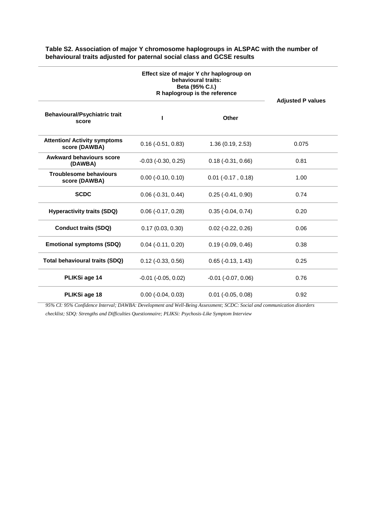|                                                      | Effect size of major Y chr haplogroup on<br>behavioural traits:<br>Beta (95% C.I.)<br>R haplogroup is the reference | <b>Adjusted P values</b>    |       |  |
|------------------------------------------------------|---------------------------------------------------------------------------------------------------------------------|-----------------------------|-------|--|
| <b>Behavioural/Psychiatric trait</b><br>score        |                                                                                                                     | <b>Other</b>                |       |  |
| <b>Attention/ Activity symptoms</b><br>score (DAWBA) | $0.16$ ( $-0.51$ , $0.83$ )                                                                                         | 1.36(0.19, 2.53)            | 0.075 |  |
| <b>Awkward behaviours score</b><br>(DAWBA)           | $-0.03$ $(-0.30, 0.25)$                                                                                             | $0.18(-0.31, 0.66)$         | 0.81  |  |
| <b>Troublesome behaviours</b><br>score (DAWBA)       | $0.00$ (-0.10, 0.10)                                                                                                | $0.01$ ( $-0.17$ , $0.18$ ) | 1.00  |  |
| <b>SCDC</b>                                          | $0.06$ ( $-0.31$ , $0.44$ )                                                                                         | $0.25$ ( $-0.41, 0.90$ )    | 0.74  |  |
| <b>Hyperactivity traits (SDQ)</b>                    | $0.06$ ( $-0.17, 0.28$ )                                                                                            | $0.35$ ( $-0.04$ , $0.74$ ) | 0.20  |  |
| <b>Conduct traits (SDQ)</b>                          | 0.17(0.03, 0.30)                                                                                                    | $0.02$ (-0.22, 0.26)        | 0.06  |  |
| <b>Emotional symptoms (SDQ)</b>                      | $0.04$ ( $-0.11$ , $0.20$ )                                                                                         | $0.19$ ( $-0.09$ , $0.46$ ) | 0.38  |  |
| <b>Total behavioural traits (SDQ)</b>                | $0.12$ ( $-0.33$ , $0.56$ )                                                                                         | $0.65$ ( $-0.13$ , $1.43$ ) | 0.25  |  |
| PLIKSi age 14                                        | $-0.01$ $(-0.05, 0.02)$                                                                                             | $-0.01$ $(-0.07, 0.06)$     | 0.76  |  |
| PLIKSi age 18                                        | $0.00$ ( $-0.04$ , $0.03$ )                                                                                         | $0.01$ (-0.05, 0.08)        | 0.92  |  |

### **Table S2. Association of major Y chromosome haplogroups in ALSPAC with the number of behavioural traits adjusted for paternal social class and GCSE results**

*95% CI: 95% Confidence Interval; DAWBA: Development and Well-Being Assessment; SCDC: Social and communication disorders checklist; SDQ: Strengths and Difficulties Questionnaire; PLIKSi: Psychosis-Like Symptom Interview*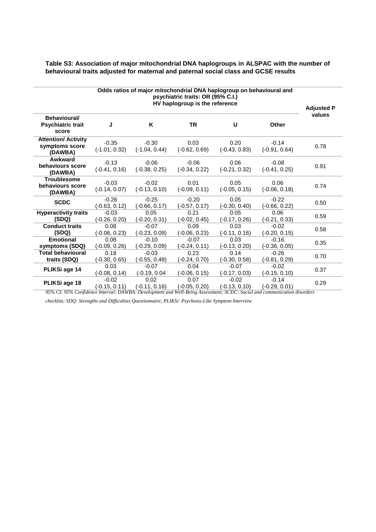| Table S3: Association of major mitochondrial DNA haplogroups in ALSPAC with the number of |
|-------------------------------------------------------------------------------------------|
| behavioural traits adjusted for maternal and paternal social class and GCSE results       |

| Odds ratios of major mitochondrial DNA haplogroup on behavioural and<br>psychiatric traits: OR (95% C.I.)<br>HV haplogroup is the reference |                            |                            |                            |                            |                            |        |  |
|---------------------------------------------------------------------------------------------------------------------------------------------|----------------------------|----------------------------|----------------------------|----------------------------|----------------------------|--------|--|
| Behavioural/<br><b>Psychiatric trait</b><br>score                                                                                           | J                          | Κ                          | <b>TR</b>                  | U                          | <b>Other</b>               | values |  |
| <b>Attention/ Activity</b><br>symptoms score<br>(DAWBA)                                                                                     | $-0.35$<br>$(-1.01, 0.32)$ | $-0.30$<br>$(-1.04, 0.44)$ | 0.03<br>$(-0.62, 0.69)$    | 0.20<br>$(-0.43, 0.83)$    | $-0.14$<br>$(-0.91, 0.64)$ | 0.78   |  |
| Awkward<br>behaviours score<br>(DAWBA)                                                                                                      | $-0.13$<br>$(-0.41, 0.16)$ | $-0.06$<br>$(-0.38, 0.25)$ | $-0.06$<br>$(-0.34, 0.22)$ | 0.06<br>$(-0.21, 0.32)$    | $-0.08$<br>$(-0.41, 0.25)$ | 0.91   |  |
| <b>Troublesome</b><br>behaviours score<br>(DAWBA)                                                                                           | $-0.03$<br>$(-0.14, 0.07)$ | $-0.02$<br>$(-0.13, 0.10)$ | 0.01<br>$(-0.09, 0.11)$    | 0.05<br>$(-0.05, 0.15)$    | 0.06<br>$(-0.06, 0.18)$    | 0.74   |  |
| <b>SCDC</b>                                                                                                                                 | $-0.26$<br>$(-0.63, 0.12)$ | $-0.25$<br>$(-0.66, 0.17)$ | $-0.20$<br>$(-0.57, 0.17)$ | 0.05<br>$(-0.30, 0.40)$    | $-0.22$<br>(-0.66, 0.22)   | 0.50   |  |
| <b>Hyperactivity traits</b><br>(SDQ)                                                                                                        | $-0.03$<br>(-0.26, 0.20)   | 0.05<br>$(-0.20, 0.31)$    | 0.21<br>$(-0.02, 0.45)$    | 0.05<br>$(-0.17, 0.26)$    | 0.06<br>$(-0.21, 0.33)$    | 0.59   |  |
| <b>Conduct traits</b><br>(SDQ)                                                                                                              | 0.08<br>$(-0.06, 0.23)$    | $-0.07$<br>$(-0.23, 0.09)$ | 0.09<br>$(-0.06, 0.23)$    | 0.03<br>$(-0.11, 0.16)$    | $-0.02$<br>$(-0.20, 0.15)$ | 0.58   |  |
| <b>Emotional</b><br>symptoms (SDQ)                                                                                                          | 0.08<br>(-0.09, 0.26)      | $-0.10$<br>$(-0.29, 0.09)$ | $-0.07$<br>(-0.24, 0.11)   | 0.03<br>$(-0.13, 0.20)$    | $-0.16$<br>(-0.36, 0.05)   | 0.35   |  |
| <b>Total behavioural</b><br>traits (SDQ)                                                                                                    | 0.18<br>$(-0.30, 0.65)$    | $-0.03$<br>$(-0.55, 0.48)$ | 0.23<br>$(-0.24, 0.70)$    | 0.14<br>$(-0.30, 0.58)$    | $-0.26$<br>$(-0.81, 0.29)$ | 0.70   |  |
| PLIKSi age 14                                                                                                                               | 0.03<br>$(-0.08, 0.14)$    | $-0.07$<br>(-0.19, 0.04    | 0.04<br>$(-0.06, 0.15)$    | $-0.07$<br>$(-0.17, 0.03)$ | $-0.02$<br>$(-0.15, 0.10)$ | 0.37   |  |
| PLIKSi age 18                                                                                                                               | $-0.02$<br>(-0.15, 0.11)   | 0.02<br>$(-0.11, 0.16)$    | 0.07<br>$(-0.05, 0.20)$    | $-0.02$<br>$(-0.13, 0.10)$ | $-0.14$<br>$(-0.29, 0.01)$ | 0.29   |  |

*95% CI: 95% Confidence Interval; DAWBA: Development and Well-Being Assessment; SCDC: Social and communication disorders* 

*checklist; SDQ: Strengths and Difficulties Questionnaire; PLIKSi: Psychosis-Like Symptom Interview*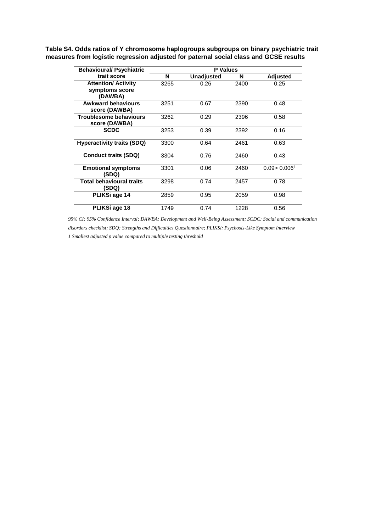| <b>Behavioural/ Psychiatric</b>                | <b>P</b> Values |                   |      |                           |  |  |
|------------------------------------------------|-----------------|-------------------|------|---------------------------|--|--|
| trait score                                    | N               | <b>Unadjusted</b> | N    | Adjusted                  |  |  |
| <b>Attention/ Activity</b>                     | 3265            | 0.26              | 2400 | 0.25                      |  |  |
| symptoms score<br>(DAWBA)                      |                 |                   |      |                           |  |  |
| <b>Awkward behaviours</b><br>score (DAWBA)     | 3251            | 0.67              | 2390 | 0.48                      |  |  |
| <b>Troublesome behaviours</b><br>score (DAWBA) | 3262            | 0.29              | 2396 | 0.58                      |  |  |
| <b>SCDC</b>                                    | 3253            | 0.39              | 2392 | 0.16                      |  |  |
| <b>Hyperactivity traits (SDQ)</b>              | 3300            | 0.64              | 2461 | 0.63                      |  |  |
| <b>Conduct traits (SDQ)</b>                    | 3304            | 0.76              | 2460 | 0.43                      |  |  |
| <b>Emotional symptoms</b><br>(SDQ)             | 3301            | 0.06              | 2460 | 0.09 > 0.006 <sup>1</sup> |  |  |
| <b>Total behavioural traits</b><br>'SDQ)       | 3298            | 0.74              | 2457 | 0.78                      |  |  |

**Table S4. Odds ratios of Y chromosome haplogroups subgroups on binary psychiatric trait measures from logistic regression adjusted for paternal social class and GCSE results**

*95% CI: 95% Confidence Interval; DAWBA: Development and Well-Being Assessment; SCDC: Social and communication disorders checklist; SDQ: Strengths and Difficulties Questionnaire; PLIKSi: Psychosis-Like Symptom Interview 1 Smallest adjusted p value compared to multiple testing threshold* 

**PLIKSi age 14** 2859 0.95 2059 0.98 **PLIKSi age 18** 1749 0.74 1228 0.56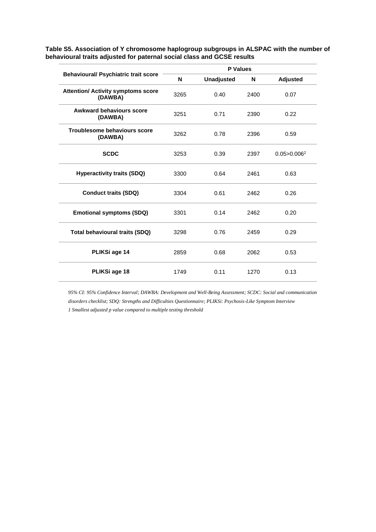|                                                      |      | <b>P</b> Values   |      |                  |  |
|------------------------------------------------------|------|-------------------|------|------------------|--|
| <b>Behavioural/ Psychiatric trait score</b>          | N    | <b>Unadjusted</b> | N    | <b>Adjusted</b>  |  |
| <b>Attention/ Activity symptoms score</b><br>(DAWBA) | 3265 | 0.40              | 2400 | 0.07             |  |
| Awkward behaviours score<br>(DAWBA)                  | 3251 | 0.71              | 2390 | 0.22             |  |
| Troublesome behaviours score<br>(DAWBA)              | 3262 | 0.78              | 2396 | 0.59             |  |
| <b>SCDC</b>                                          | 3253 | 0.39              | 2397 | $0.05 > 0.006^2$ |  |
| <b>Hyperactivity traits (SDQ)</b>                    | 3300 | 0.64              | 2461 | 0.63             |  |
| <b>Conduct traits (SDQ)</b>                          | 3304 | 0.61              | 2462 | 0.26             |  |
| <b>Emotional symptoms (SDQ)</b>                      | 3301 | 0.14              | 2462 | 0.20             |  |
| <b>Total behavioural traits (SDQ)</b>                | 3298 | 0.76              | 2459 | 0.29             |  |
| PLIKSi age 14                                        | 2859 | 0.68              | 2062 | 0.53             |  |
| PLIKSi age 18                                        | 1749 | 0.11              | 1270 | 0.13             |  |
|                                                      |      |                   |      |                  |  |

**Table S5. Association of Y chromosome haplogroup subgroups in ALSPAC with the number of behavioural traits adjusted for paternal social class and GCSE results**

*95% CI: 95% Confidence Interval; DAWBA: Development and Well-Being Assessment; SCDC: Social and communication disorders checklist; SDQ: Strengths and Difficulties Questionnaire; PLIKSi: Psychosis-Like Symptom Interview 1 Smallest adjusted p value compared to multiple testing threshold*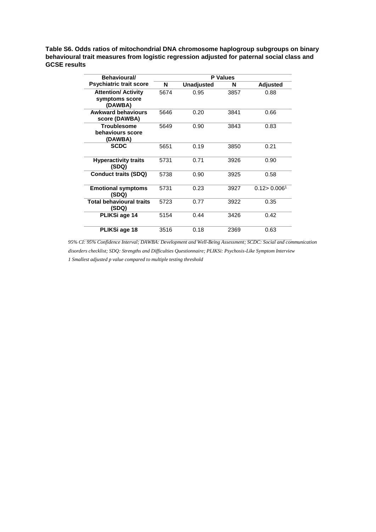**Table S6. Odds ratios of mitochondrial DNA chromosome haplogroup subgroups on binary behavioural trait measures from logistic regression adjusted for paternal social class and GCSE results**

| Behavioural/                                            | <b>P</b> Values |                   |      |                           |  |  |  |
|---------------------------------------------------------|-----------------|-------------------|------|---------------------------|--|--|--|
| <b>Psychiatric trait score</b>                          | N               | <b>Unadjusted</b> | N    | <b>Adjusted</b>           |  |  |  |
| <b>Attention/ Activity</b><br>symptoms score<br>(DAWBA) | 5674            | 0.95              | 3857 | 0.88                      |  |  |  |
| <b>Awkward behaviours</b><br>score (DAWBA)              | 5646            | 0.20              | 3841 | 0.66                      |  |  |  |
| <b>Troublesome</b><br>behaviours score<br>(DAWBA)       | 5649            | 0.90              | 3843 | 0.83                      |  |  |  |
| <b>SCDC</b>                                             | 5651            | 0.19              | 3850 | 0.21                      |  |  |  |
| <b>Hyperactivity traits</b><br>(SDQ)                    | 5731            | 0.71              | 3926 | 0.90                      |  |  |  |
| <b>Conduct traits (SDQ)</b>                             | 5738            | 0.90              | 3925 | 0.58                      |  |  |  |
| <b>Emotional symptoms</b><br>(SDQ)                      | 5731            | 0.23              | 3927 | 0.12 > 0.006 <sup>1</sup> |  |  |  |
| Total behavioural traits<br>(SDQ)                       | 5723            | 0.77              | 3922 | 0.35                      |  |  |  |
| PLIKSi age 14                                           | 5154            | 0.44              | 3426 | 0.42                      |  |  |  |
| PLIKSi age 18                                           | 3516            | 0.18              | 2369 | 0.63                      |  |  |  |

*95% CI: 95% Confidence Interval; DAWBA: Development and Well-Being Assessment; SCDC: Social and communication disorders checklist; SDQ: Strengths and Difficulties Questionnaire; PLIKSi: Psychosis-Like Symptom Interview 1 Smallest adjusted p value compared to multiple testing threshold*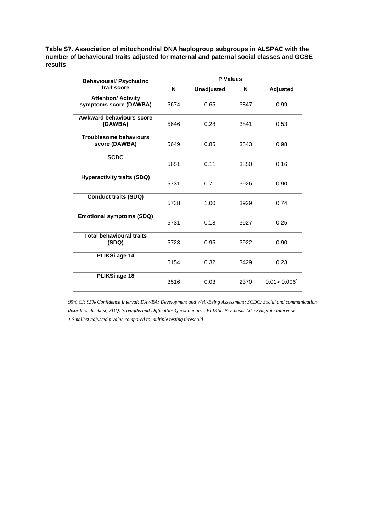**Table S7. Association of mitochondrial DNA haplogroup subgroups in ALSPAC with the number of behavioural traits adjusted for maternal and paternal social classes and GCSE results**

| <b>Behavioural/ Psychiatric</b>                      | <b>P</b> Values |                   |      |                           |  |  |
|------------------------------------------------------|-----------------|-------------------|------|---------------------------|--|--|
| trait score                                          | N               | <b>Unadjusted</b> | N    | <b>Adjusted</b>           |  |  |
| <b>Attention/ Activity</b><br>symptoms score (DAWBA) | 5674            | 0.65              | 3847 | 0.99                      |  |  |
| <b>Awkward behaviours score</b><br>(DAWBA)           | 5646            | 0.28              | 3841 | 0.53                      |  |  |
| <b>Troublesome behaviours</b><br>score (DAWBA)       | 5649            | 0.85              | 3843 | 0.98                      |  |  |
| <b>SCDC</b>                                          | 5651            | 0.11              | 3850 | 0.16                      |  |  |
| <b>Hyperactivity traits (SDQ)</b>                    | 5731            | 0.71              | 3926 | 0.90                      |  |  |
| <b>Conduct traits (SDQ)</b>                          | 5738            | 1.00              | 3929 | 0.74                      |  |  |
| <b>Emotional symptoms (SDQ)</b>                      | 5731            | 0.18              | 3927 | 0.25                      |  |  |
| <b>Total behavioural traits</b><br>(SDQ)             | 5723            | 0.95              | 3922 | 0.90                      |  |  |
| PLIKSi age 14                                        | 5154            | 0.32              | 3429 | 0.23                      |  |  |
| PLIKSi age 18                                        | 3516            | 0.03              | 2370 | 0.01 > 0.006 <sup>1</sup> |  |  |

*95% CI: 95% Confidence Interval; DAWBA: Development and Well-Being Assessment; SCDC: Social and communication disorders checklist; SDQ: Strengths and Difficulties Questionnaire; PLIKSi: Psychosis-Like Symptom Interview 1 Smallest adjusted p value compared to multiple testing threshold*